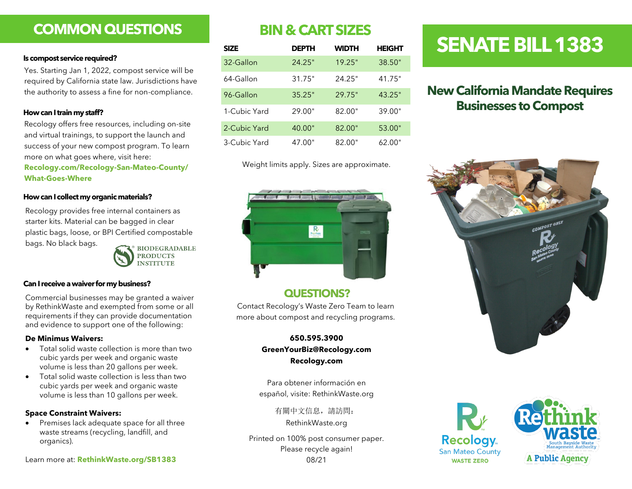### **COMMON QUESTIONS**

### **Is compost service required?**

Yes. Starting Jan 1, 2022, compost service will be required by California state law. Jurisdictions have the authority to assess a fine for non-compliance.

### **How can I train my staff?**

Recology offers free resources, including on-site and virtual trainings, to support the launch and success of your new compost program. To learn more on what goes where, visit here:

### **Recology.com/Recology-San-Mateo-County/ What-Goes-Where**

### **How can I collect my organic materials?**

Recology provides free internal containers as starter kits. Material can be bagged in clear plastic bags, loose, or BPI Certified compostable bags. No black bags. **BIODEGRADABLE** 



**Can I receive a waiver for my business?**

Commercial businesses may be granted a waiver by RethinkWaste and exempted from some or all requirements if they can provide documentation and evidence to support one of the following:

### **De Minimus Waivers:**

- Total solid waste collection is more than two cubic yards per week and organic waste volume is less than 20 gallons per week.
- Total solid waste collection is less than two cubic yards per week and organic waste volume is less than 10 gallons per week.

### **Space Constraint Waivers:**

• Premises lack adequate space for all three waste streams (recycling, landfill, and organics).

Learn more at: **RethinkWaste.org/SB1383**

### **BIN & CART SIZES**

| <b>SIZE</b>  | <b>DEPTH</b> | <b>WIDTH</b> | <b>HEIGHT</b> |
|--------------|--------------|--------------|---------------|
| 32-Gallon    | 24.25"       | 19.25"       | 38.50"        |
| 64-Gallon    | 31.75"       | 24.25"       | 41.75"        |
| 96-Gallon    | 35.25"       | 29.75"       | 43.25"        |
| 1-Cubic Yard | 29.00"       | 82.00"       | 39.00"        |
| 2-Cubic Yard | 40.00"       | 82.00"       | 53.00"        |
| 3-Cubic Yard | 47.00"       | 82.00"       | 62.00"        |

Weight limits apply. Sizes are approximate.



### **QUESTIONS?**

Contact Recology's Waste Zero Team to learn more about compost and recycling programs.

> **650.595.3900 GreenYourBiz@Recology.com Recology.com**

Para obtener información en español, visite: RethinkWaste.org

> 有關中文信息,請訪問: RethinkWaste.org

Printed on 100% post consumer paper. Please recycle again! 08/21

## **Recology San Mateo County WASTE ZERO**



**A Public Agency** 

# **SENATE BILL 1383**

### **New California Mandate Requires Businesses to Compost**